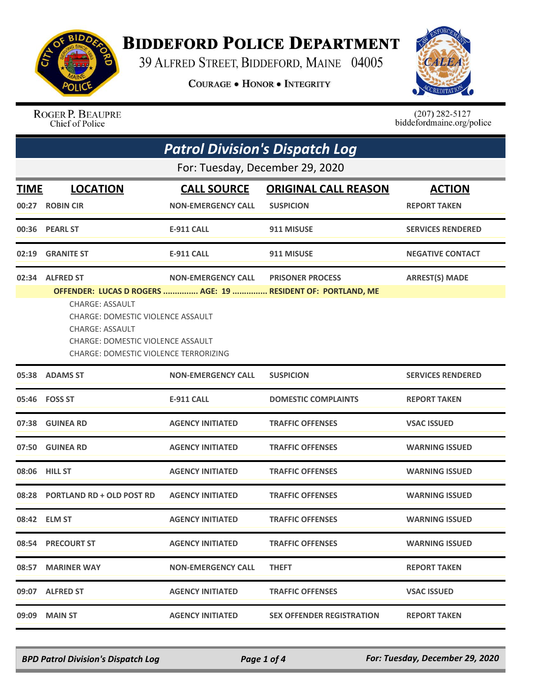

## **BIDDEFORD POLICE DEPARTMENT**

39 ALFRED STREET, BIDDEFORD, MAINE 04005

**COURAGE . HONOR . INTEGRITY** 



ROGER P. BEAUPRE<br>Chief of Police

 $(207)$  282-5127<br>biddefordmaine.org/police

| <b>Patrol Division's Dispatch Log</b> |                                                                                                                                                                                          |                           |                                                                                         |                          |  |  |
|---------------------------------------|------------------------------------------------------------------------------------------------------------------------------------------------------------------------------------------|---------------------------|-----------------------------------------------------------------------------------------|--------------------------|--|--|
|                                       | For: Tuesday, December 29, 2020                                                                                                                                                          |                           |                                                                                         |                          |  |  |
| <b>TIME</b>                           | <b>LOCATION</b>                                                                                                                                                                          | <b>CALL SOURCE</b>        | <b>ORIGINAL CALL REASON</b>                                                             | <b>ACTION</b>            |  |  |
| 00:27                                 | <b>ROBIN CIR</b>                                                                                                                                                                         | <b>NON-EMERGENCY CALL</b> | <b>SUSPICION</b>                                                                        | <b>REPORT TAKEN</b>      |  |  |
| 00:36                                 | <b>PEARL ST</b>                                                                                                                                                                          | E-911 CALL                | 911 MISUSE                                                                              | <b>SERVICES RENDERED</b> |  |  |
| 02:19                                 | <b>GRANITE ST</b>                                                                                                                                                                        | E-911 CALL                | 911 MISUSE                                                                              | <b>NEGATIVE CONTACT</b>  |  |  |
| 02:34                                 | <b>ALFRED ST</b>                                                                                                                                                                         | <b>NON-EMERGENCY CALL</b> | <b>PRISONER PROCESS</b><br>OFFENDER: LUCAS D ROGERS  AGE: 19  RESIDENT OF: PORTLAND, ME | <b>ARREST(S) MADE</b>    |  |  |
|                                       | <b>CHARGE: ASSAULT</b><br><b>CHARGE: DOMESTIC VIOLENCE ASSAULT</b><br><b>CHARGE: ASSAULT</b><br><b>CHARGE: DOMESTIC VIOLENCE ASSAULT</b><br><b>CHARGE: DOMESTIC VIOLENCE TERRORIZING</b> |                           |                                                                                         |                          |  |  |
|                                       | 05:38 ADAMS ST                                                                                                                                                                           | <b>NON-EMERGENCY CALL</b> | <b>SUSPICION</b>                                                                        | <b>SERVICES RENDERED</b> |  |  |
| 05:46                                 | <b>FOSS ST</b>                                                                                                                                                                           | <b>E-911 CALL</b>         | <b>DOMESTIC COMPLAINTS</b>                                                              | <b>REPORT TAKEN</b>      |  |  |
|                                       | 07:38 GUINEA RD                                                                                                                                                                          | <b>AGENCY INITIATED</b>   | <b>TRAFFIC OFFENSES</b>                                                                 | <b>VSAC ISSUED</b>       |  |  |
| 07:50                                 | <b>GUINEA RD</b>                                                                                                                                                                         | <b>AGENCY INITIATED</b>   | <b>TRAFFIC OFFENSES</b>                                                                 | <b>WARNING ISSUED</b>    |  |  |
| 08:06                                 | <b>HILL ST</b>                                                                                                                                                                           | <b>AGENCY INITIATED</b>   | <b>TRAFFIC OFFENSES</b>                                                                 | <b>WARNING ISSUED</b>    |  |  |
| 08:28                                 | <b>PORTLAND RD + OLD POST RD</b>                                                                                                                                                         | <b>AGENCY INITIATED</b>   | <b>TRAFFIC OFFENSES</b>                                                                 | <b>WARNING ISSUED</b>    |  |  |
|                                       | 08:42 ELM ST                                                                                                                                                                             | <b>AGENCY INITIATED</b>   | <b>TRAFFIC OFFENSES</b>                                                                 | <b>WARNING ISSUED</b>    |  |  |
|                                       | 08:54 PRECOURT ST                                                                                                                                                                        | <b>AGENCY INITIATED</b>   | <b>TRAFFIC OFFENSES</b>                                                                 | <b>WARNING ISSUED</b>    |  |  |
|                                       | 08:57 MARINER WAY                                                                                                                                                                        | <b>NON-EMERGENCY CALL</b> | <b>THEFT</b>                                                                            | <b>REPORT TAKEN</b>      |  |  |
|                                       | 09:07 ALFRED ST                                                                                                                                                                          | <b>AGENCY INITIATED</b>   | <b>TRAFFIC OFFENSES</b>                                                                 | <b>VSAC ISSUED</b>       |  |  |
|                                       | 09:09 MAIN ST                                                                                                                                                                            | <b>AGENCY INITIATED</b>   | <b>SEX OFFENDER REGISTRATION</b>                                                        | <b>REPORT TAKEN</b>      |  |  |

*BPD Patrol Division's Dispatch Log Page 1 of 4 For: Tuesday, December 29, 2020*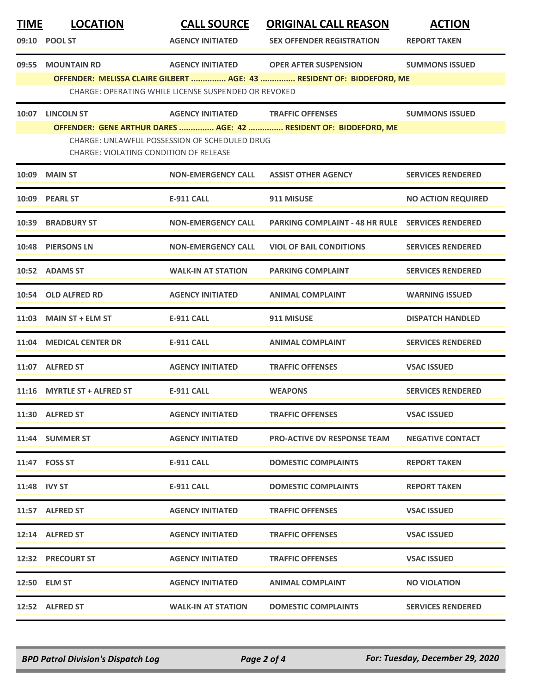| <b>TIME</b>  | <b>LOCATION</b>                                      | <b>CALL SOURCE</b>                            | <b>ORIGINAL CALL REASON</b>                                                                           | <b>ACTION</b>             |  |
|--------------|------------------------------------------------------|-----------------------------------------------|-------------------------------------------------------------------------------------------------------|---------------------------|--|
|              | 09:10 POOL ST                                        | <b>AGENCY INITIATED</b>                       | <b>SEX OFFENDER REGISTRATION</b>                                                                      | <b>REPORT TAKEN</b>       |  |
| 09:55        | <b>MOUNTAIN RD</b>                                   | <b>AGENCY INITIATED</b>                       | <b>OPER AFTER SUSPENSION</b><br>OFFENDER: MELISSA CLAIRE GILBERT  AGE: 43  RESIDENT OF: BIDDEFORD, ME | <b>SUMMONS ISSUED</b>     |  |
|              | CHARGE: OPERATING WHILE LICENSE SUSPENDED OR REVOKED |                                               |                                                                                                       |                           |  |
| 10:07        | <b>LINCOLN ST</b>                                    | AGENCY INITIATED TRAFFIC OFFENSES             |                                                                                                       | <b>SUMMONS ISSUED</b>     |  |
|              |                                                      |                                               | OFFENDER: GENE ARTHUR DARES  AGE: 42  RESIDENT OF: BIDDEFORD, ME                                      |                           |  |
|              | <b>CHARGE: VIOLATING CONDITION OF RELEASE</b>        | CHARGE: UNLAWFUL POSSESSION OF SCHEDULED DRUG |                                                                                                       |                           |  |
| 10:09        | <b>MAIN ST</b>                                       | <b>NON-EMERGENCY CALL</b>                     | <b>ASSIST OTHER AGENCY</b>                                                                            | <b>SERVICES RENDERED</b>  |  |
|              | 10:09 PEARL ST                                       | E-911 CALL                                    | 911 MISUSE                                                                                            | <b>NO ACTION REQUIRED</b> |  |
| 10:39        | <b>BRADBURY ST</b>                                   | <b>NON-EMERGENCY CALL</b>                     | <b>PARKING COMPLAINT - 48 HR RULE SERVICES RENDERED</b>                                               |                           |  |
|              | 10:48 PIERSONS LN                                    | <b>NON-EMERGENCY CALL</b>                     | <b>VIOL OF BAIL CONDITIONS</b>                                                                        | <b>SERVICES RENDERED</b>  |  |
|              | 10:52 ADAMS ST                                       | <b>WALK-IN AT STATION</b>                     | <b>PARKING COMPLAINT</b>                                                                              | <b>SERVICES RENDERED</b>  |  |
| 10:54        | <b>OLD ALFRED RD</b>                                 | <b>AGENCY INITIATED</b>                       | <b>ANIMAL COMPLAINT</b>                                                                               | <b>WARNING ISSUED</b>     |  |
|              | 11:03 MAIN ST + ELM ST                               | <b>E-911 CALL</b>                             | 911 MISUSE                                                                                            | <b>DISPATCH HANDLED</b>   |  |
| 11:04        | <b>MEDICAL CENTER DR</b>                             | <b>E-911 CALL</b>                             | <b>ANIMAL COMPLAINT</b>                                                                               | <b>SERVICES RENDERED</b>  |  |
|              | 11:07 ALFRED ST                                      | <b>AGENCY INITIATED</b>                       | <b>TRAFFIC OFFENSES</b>                                                                               | <b>VSAC ISSUED</b>        |  |
|              | 11:16 MYRTLE ST + ALFRED ST                          | <b>E-911 CALL</b>                             | <b>WEAPONS</b>                                                                                        | <b>SERVICES RENDERED</b>  |  |
|              | 11:30 ALFRED ST                                      | <b>AGENCY INITIATED</b>                       | <b>TRAFFIC OFFENSES</b>                                                                               | <b>VSAC ISSUED</b>        |  |
|              | 11:44 SUMMER ST                                      | <b>AGENCY INITIATED</b>                       | <b>PRO-ACTIVE DV RESPONSE TEAM</b>                                                                    | <b>NEGATIVE CONTACT</b>   |  |
|              | 11:47 FOSS ST                                        | <b>E-911 CALL</b>                             | <b>DOMESTIC COMPLAINTS</b>                                                                            | <b>REPORT TAKEN</b>       |  |
| 11:48 IVY ST |                                                      | E-911 CALL                                    | <b>DOMESTIC COMPLAINTS</b>                                                                            | <b>REPORT TAKEN</b>       |  |
|              | 11:57 ALFRED ST                                      | <b>AGENCY INITIATED</b>                       | <b>TRAFFIC OFFENSES</b>                                                                               | <b>VSAC ISSUED</b>        |  |
|              | 12:14 ALFRED ST                                      | <b>AGENCY INITIATED</b>                       | <b>TRAFFIC OFFENSES</b>                                                                               | <b>VSAC ISSUED</b>        |  |
|              | 12:32 PRECOURT ST                                    | <b>AGENCY INITIATED</b>                       | <b>TRAFFIC OFFENSES</b>                                                                               | <b>VSAC ISSUED</b>        |  |
|              | 12:50 ELM ST                                         | <b>AGENCY INITIATED</b>                       | <b>ANIMAL COMPLAINT</b>                                                                               | <b>NO VIOLATION</b>       |  |
|              | 12:52 ALFRED ST                                      | <b>WALK-IN AT STATION</b>                     | <b>DOMESTIC COMPLAINTS</b>                                                                            | <b>SERVICES RENDERED</b>  |  |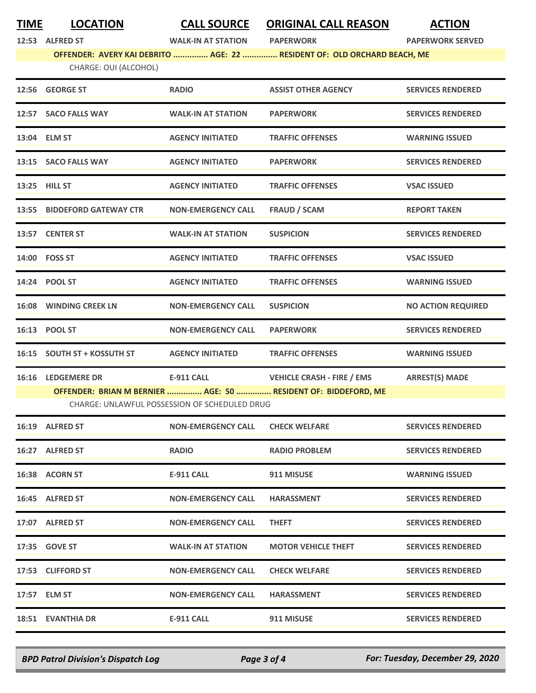**TIME LOCATION CALL SOURCE ORIGINAL CALL REASON ACTION**

**12:53 ALFRED ST WALK-IN AT STATION PAPERWORK PAPERWORK SERVED**

**OFFENDER: AVERY KAI DEBRITO ............... AGE: 22 ............... RESIDENT OF: OLD ORCHARD BEACH, ME** CHARGE: OUI (ALCOHOL)

| 12:56 GEORGE ST               | <b>RADIO</b>                                                | <b>ASSIST OTHER AGENCY</b>                                                                          | <b>SERVICES RENDERED</b>  |
|-------------------------------|-------------------------------------------------------------|-----------------------------------------------------------------------------------------------------|---------------------------|
| 12:57 SACO FALLS WAY          | <b>WALK-IN AT STATION</b>                                   | <b>PAPERWORK</b>                                                                                    | <b>SERVICES RENDERED</b>  |
| 13:04 ELM ST                  | <b>AGENCY INITIATED</b>                                     | <b>TRAFFIC OFFENSES</b>                                                                             | <b>WARNING ISSUED</b>     |
| 13:15 SACO FALLS WAY          | <b>AGENCY INITIATED</b>                                     | <b>PAPERWORK</b>                                                                                    | <b>SERVICES RENDERED</b>  |
| 13:25 HILL ST                 | <b>AGENCY INITIATED</b>                                     | <b>TRAFFIC OFFENSES</b>                                                                             | <b>VSAC ISSUED</b>        |
| 13:55 BIDDEFORD GATEWAY CTR   | <b>NON-EMERGENCY CALL</b>                                   | <b>FRAUD / SCAM</b>                                                                                 | <b>REPORT TAKEN</b>       |
| 13:57 CENTER ST               | <b>WALK-IN AT STATION</b>                                   | <b>SUSPICION</b>                                                                                    | <b>SERVICES RENDERED</b>  |
| 14:00 FOSS ST                 | <b>AGENCY INITIATED</b>                                     | <b>TRAFFIC OFFENSES</b>                                                                             | <b>VSAC ISSUED</b>        |
| 14:24 POOL ST                 | <b>AGENCY INITIATED</b>                                     | <b>TRAFFIC OFFENSES</b>                                                                             | <b>WARNING ISSUED</b>     |
| <b>16:08 WINDING CREEK LN</b> | <b>NON-EMERGENCY CALL</b>                                   | <b>SUSPICION</b>                                                                                    | <b>NO ACTION REQUIRED</b> |
| 16:13 POOL ST                 | <b>NON-EMERGENCY CALL</b>                                   | <b>PAPERWORK</b>                                                                                    | <b>SERVICES RENDERED</b>  |
| 16:15 SOUTH ST + KOSSUTH ST   | <b>AGENCY INITIATED</b>                                     | <b>TRAFFIC OFFENSES</b>                                                                             | <b>WARNING ISSUED</b>     |
| 16:16 LEDGEMERE DR            | E-911 CALL<br>CHARGE: UNLAWFUL POSSESSION OF SCHEDULED DRUG | <b>VEHICLE CRASH - FIRE / EMS</b><br>OFFENDER: BRIAN M BERNIER  AGE: 50  RESIDENT OF: BIDDEFORD, ME | <b>ARREST(S) MADE</b>     |
| 16:19 ALFRED ST               | <b>NON-EMERGENCY CALL</b>                                   | <b>CHECK WELFARE</b>                                                                                | <b>SERVICES RENDERED</b>  |
| 16:27 ALFRED ST               | <b>RADIO</b>                                                | <b>RADIO PROBLEM</b>                                                                                | <b>SERVICES RENDERED</b>  |
| 16:38 ACORN ST                | <b>E-911 CALL</b>                                           | 911 MISUSE                                                                                          | <b>WARNING ISSUED</b>     |
| 16:45 ALFRED ST               | <b>NON-EMERGENCY CALL</b>                                   | <b>HARASSMENT</b>                                                                                   | <b>SERVICES RENDERED</b>  |
| 17:07 ALFRED ST               | <b>NON-EMERGENCY CALL</b>                                   | <b>THEFT</b>                                                                                        | <b>SERVICES RENDERED</b>  |
| 17:35 GOVE ST                 | <b>WALK-IN AT STATION</b>                                   | <b>MOTOR VEHICLE THEFT</b>                                                                          | <b>SERVICES RENDERED</b>  |

**17:35 GOVE ST WALK-IN AT STATION MOTOR VEHICLE THEFT SERVICES RENDERED 17:53 CLIFFORD ST NON-EMERGENCY CALL CHECK WELFARE SERVICES RENDERED 17:57 ELM ST NON-EMERGENCY CALL HARASSMENT SERVICES RENDERED 18:51 EVANTHIA DR E-911 CALL 911 MISUSE SERVICES RENDERED**

*BPD Patrol Division's Dispatch Log Page 3 of 4 For: Tuesday, December 29, 2020*